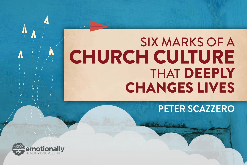## SIX MARKS OF A CHURCH CULTURE THAT DEEPLY CHANGES LIVES

**PETER SCAZZERO**

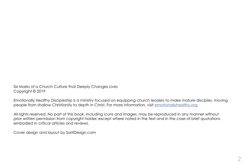Six Marks of a Church Culture that Deeply Changes Lives Copyright © 2019

Emotionally Healthy Discipleship is a ministry focused on equipping church leaders to make mature disciples, moving people from shallow Christianity to depth in Christ. For more information, visit [emotionallyhealthy.org.](http://emotionallyhealthy.org)

All rights reserved. No part of this book, including icons and images, may be reproduced in any manner without prior written permission from copyright holder, except where noted in the text and in the case of brief quotations embodied in critical articles and reviews.

Cover design and layout by SartiDesign.com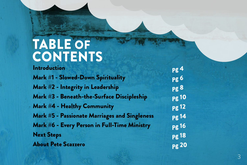## TABLE OF<br>CONTENTS

**Introduction** Mark #1 - Slowed-Down Spirituality Mark #2 - Integrity in Leadership Mark #3 - Beneath-the-Surface Discipleship Mark #4 - Healthy Community Mark #5 - Passionate Marriages and Singleness Mark #6 - Every Person in Full-Time Ministry Next Steps About Pete Scazzero

pg 4 pg 6 pg 8 pg 10 pg 12 pg 14 pg 16 pg 18 pg 20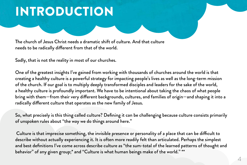## INTRODUCTION

The church of Jesus Christ needs a dramatic shift of culture. And that culture needs to be radically different from that of the world.

Sadly, that is not the reality in most of our churches.

One of the greatest insights I've gained from working with thousands of churches around the world is that creating a healthy culture is a powerful strategy for impacting people's lives as well as the long-term mission of the church. If our goal is to multiply deeply transformed disciples and leaders for the sake of the world, a healthy culture is profoundly important. We have to be intentional about taking the chaos of what people bring with them—from their very different backgrounds, cultures, and families of origin—and shaping it into a radically different culture that operates as the new family of Jesus.

So, what precisely is this thing called culture? Defining it can be challenging because culture consists primarily of unspoken rules about "the way we do things around here."

 Culture is that imprecise something, the invisible presence or personality of a place that can be difficult to describe without actually experiencing it. It is often more readily felt than articulated. Perhaps the simplest and best definitions I've come across describe culture as "the sum-total of the learned patterns of thought and behavior" of any given group;\* and "Culture is what human beings make of the world." \*\*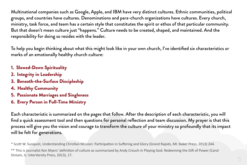Multinational companies such as Google, Apple, and IBM have very distinct cultures. Ethnic communities, political groups, and countries have cultures. Denominations and para-church organizations have cultures. Every church, ministry, task force, and team has a certain style that constitutes the spirit or ethos of that particular community. But that doesn't mean culture just "happens." Culture needs to be created, shaped, and maintained. And the responsibility for doing so resides with the leader.

To help you begin thinking about what this might look like in your own church, I've identified six characteristics or marks of an emotionally healthy church culture:

- 1. Slowed-Down Spirituality
- 2. Integrity in Leadership
- 3. Beneath-the-Surface Discipleship
- 4. Healthy Community
- 5. Passionate Marriages and Singleness
- 6. Every Person in Full-Time Ministry

Each characteristic is summarized on the pages that follow. After the description of each characteristic, you will find a quick assessment tool and then questions for personal reflection and team discussion. My prayer is that this process will give you the vision and courage to transform the culture of your ministry so profoundly that its impact will be felt for generations.

\* Scott W. Sunquist, Understanding Christian Mission: Participation in Suffering and Glory (Grand Rapids, MI: Baker Press, 2013) 244.

\*\* This is journalist Ken Myers' definition of culture as summarized by Andy Crouch in Playing God: Redeeming the Gift of Power (Carol Stream, IL: InterVarsity Press, 2013), 17.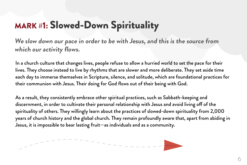## MARK #1: Slowed-Down Spirituality

**We slow down our pace in order to be with Jesus, and this is the source from which our activity flows.**

In a church culture that changes lives, people refuse to allow a hurried world to set the pace for their lives. They choose instead to live by rhythms that are slower and more deliberate. They set aside time each day to immerse themselves in Scripture, silence, and solitude, which are foundational practices for their communion with Jesus. Their doing for God flows out of their being with God.

As a result, they consistently embrace other spiritual practices, such as Sabbath-keeping and discernment, in order to cultivate their personal relationship with Jesus and avoid living off of the spirituality of others. They willingly learn about the practices of slowed-down spirituality from 2,000 years of church history and the global church. They remain profoundly aware that, apart from abiding in Jesus, it is impossible to bear lasting fruit—as individuals and as a community.

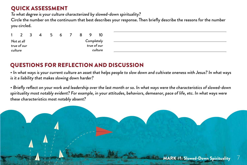To what degree is your culture characterized by slowed-down spirituality?

Circle the number on the continuum that best describes your response. Then briefly describe the reasons for the number you circled.

|         | $\mathcal{L}$ | -3 | Δ | 5 | h |  |             |         |
|---------|---------------|----|---|---|---|--|-------------|---------|
|         | Not at all    |    |   |   |   |  | Completely  |         |
|         | true of our   |    |   |   |   |  | true of our |         |
| culture |               |    |   |   |   |  |             | culture |

#### QUESTIONS FOR REFLECTION AND DISCUSSION

• In what ways is your current culture an asset that helps people to slow down and cultivate oneness with Jesus? In what ways is it a liability that makes slowing down harder?

• Briefly reflect on your work and leadership over the last month or so. In what ways were the characteristics of slowed-down spirituality most notably evident? For example, in your attitudes, behaviors, demeanor, pace of life, etc. In what ways were these characteristics most notably absent?

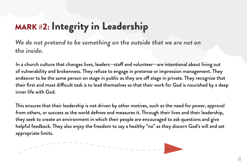## MARK #2: Integrity in Leadership

**We do not pretend to be something on the outside that we are not on the inside.**

In a church culture that changes lives, leaders—staff and volunteer—are intentional about living out of vulnerability and brokenness. They refuse to engage in pretense or impression management. They endeavor to be the same person on stage in public as they are off stage in private. They recognize that their first and most difficult task is to lead themselves so that their work for God is nourished by a deep inner life with God.

This ensures that their leadership is not driven by other motives, such as the need for power, approval from others, or success as the world defines and measures it. Through their lives and their leadership, they seek to create an environment in which their people are encouraged to ask questions and give helpful feedback. They also enjoy the freedom to say a healthy "no" as they discern God's will and set appropriate limits.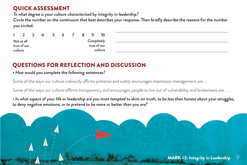To what degree is your culture characterized by integrity in leadership?

Circle the number on the continuum that best describes your response. Then briefly describe the reasons for the number you circled.

|         |             | -3 | 5 | 6 |  |             | 10      |
|---------|-------------|----|---|---|--|-------------|---------|
|         | Not at all  |    |   |   |  | Completely  |         |
|         | true of our |    |   |   |  | true of our |         |
| culture |             |    |   |   |  |             | culture |

#### QUESTIONS FOR REFLECTION AND DISCUSSION

#### • How would you complete the following sentences?

Some of the ways our culture indirectly affirms pretense and subtly encourages impression management are . . .

Some of the ways our culture affirms transparency and encourages people to live out of vulnerability and brokenness are . . .

• In what aspect of your life or leadership are you most tempted to skim on truth, to be less than honest about your struggles, to deny negative emotions, or to pretend to be more or better than you are?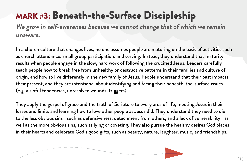## MARK #3: Beneath-the-Surface Discipleship

**We grow in self-awareness because we cannot change that of which we remain unaware.**

In a church culture that changes lives, no one assumes people are maturing on the basis of activities such as church attendance, small group participation, and serving. Instead, they understand that maturity results when people engage in the slow, hard work of following the crucified Jesus. Leaders carefully teach people how to break free from unhealthy or destructive patterns in their families and culture of origin, and how to live differently in the new family of Jesus. People understand that their past impacts their present, and they are intentional about identifying and facing their beneath-the-surface issues (e.g. a sinful tendencies, unresolved wounds, triggers)

They apply the gospel of grace and the truth of Scripture to every area of life, meeting Jesus in their losses and limits and learning how to love other people as Jesus did. They understand they need to die to the less obvious sins—such as defensiveness, detachment from others, and a lack of vulnerability—as well as the more obvious sins, such as lying or coveting. They also pursue the healthy desires God places in their hearts and celebrate God's good gifts, such as beauty, nature, laughter, music, and friendships.

 $- - - - - - -$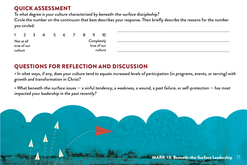To what degree is your culture characterized by beneath-the-surface discipleship?

Circle the number on the continuum that best describes your response. Then briefly describe the reasons for the number you circled.

|         | $\overline{2}$ | -3 | 4 | 5 | 6 |  |             |         |
|---------|----------------|----|---|---|---|--|-------------|---------|
|         | Not at all     |    |   |   |   |  | Completely  |         |
|         | true of our    |    |   |   |   |  | true of our |         |
| culture |                |    |   |   |   |  |             | culture |

| _________ |  |  |  |
|-----------|--|--|--|
|           |  |  |  |
|           |  |  |  |
|           |  |  |  |
|           |  |  |  |
|           |  |  |  |
|           |  |  |  |
|           |  |  |  |
|           |  |  |  |
|           |  |  |  |
|           |  |  |  |
|           |  |  |  |

#### QUESTIONS FOR REFLECTION AND DISCUSSION

• In what ways, if any, does your culture tend to equate increased levels of participation (in programs, events, or serving) with growth and transformation in Christ?

• What beneath-the-surface issues — a sinful tendency, a weakness, a wound, a past failure, or self-protection — has most impacted your leadership in the past recently?

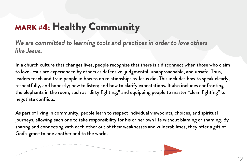## MARK #4: Healthy Community

**We are committed to learning tools and practices in order to love others like Jesus.**

In a church culture that changes lives, people recognize that there is a disconnect when those who claim to love Jesus are experienced by others as defensive, judgmental, unapproachable, and unsafe. Thus, leaders teach and train people in how to do relationships as Jesus did. This includes how to speak clearly, respectfully, and honestly; how to listen; and how to clarify expectations. It also includes confronting the elephants in the room, such as "dirty fighting," and equipping people to master "clean fighting" to negotiate conflicts.

As part of living in community, people learn to respect individual viewpoints, choices, and spiritual journeys, allowing each one to take responsibility for his or her own life without blaming or shaming. By sharing and connecting with each other out of their weaknesses and vulnerabilities, they offer a gift of God's grace to one another and to the world.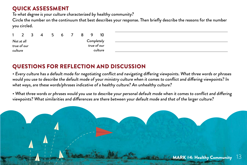To what degree is your culture characterized by healthy community?

Circle the number on the continuum that best describes your response. Then briefly describe the reasons for the number you circled.

|         |             | ्र | 4 | 6 |  |             | 10      |
|---------|-------------|----|---|---|--|-------------|---------|
|         | Not at all  |    |   |   |  | Completely  |         |
|         | true of our |    |   |   |  | true of our |         |
| culture |             |    |   |   |  |             | culture |

| the contract of the contract of the contract of the contract of the contract of the contract of the contract of |  |  |  |
|-----------------------------------------------------------------------------------------------------------------|--|--|--|
|                                                                                                                 |  |  |  |
|                                                                                                                 |  |  |  |
|                                                                                                                 |  |  |  |
|                                                                                                                 |  |  |  |
|                                                                                                                 |  |  |  |
|                                                                                                                 |  |  |  |
|                                                                                                                 |  |  |  |
|                                                                                                                 |  |  |  |
|                                                                                                                 |  |  |  |
|                                                                                                                 |  |  |  |
|                                                                                                                 |  |  |  |
|                                                                                                                 |  |  |  |
|                                                                                                                 |  |  |  |
|                                                                                                                 |  |  |  |
|                                                                                                                 |  |  |  |
|                                                                                                                 |  |  |  |
|                                                                                                                 |  |  |  |

#### QUESTIONS FOR REFLECTION AND DISCUSSION

• Every culture has a default mode for negotiating conflict and navigating differing viewpoints. What three words or phrases would you use to describe the default mode of your ministry culture when it comes to conflict and differing viewpoints? In what ways, are these words/phrases indicative of a healthy culture? An unhealthy culture?

• What three words or phrases would you use to describe your personal default mode when it comes to conflict and differing viewpoints? What similarities and differences are there between your default mode and that of the larger culture?

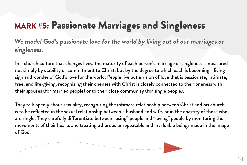## MARK #5: Passionate Marriages and Singleness

**We model God's passionate love for the world by living out of our marriages or singleness.** 

In a church culture that changes lives, the maturity of each person's marriage or singleness is measured not simply by stability or commitment to Christ, but by the degree to which each is becoming a living sign and wonder of God's love for the world. People live out a vision of love that is passionate, intimate, free, and life-giving, recognizing their oneness with Christ is closely connected to their oneness with their spouses (for married people) or to their close community (for single people).

They talk openly about sexuality, recognizing the intimate relationship between Christ and his church is to be reflected in the sexual relationship between a husband and wife, or in the chastity of those who are single. They carefully differentiate between "using" people and "loving" people by monitoring the movements of their hearts and treating others as unrepeatable and invaluable beings made in the image of God.

---------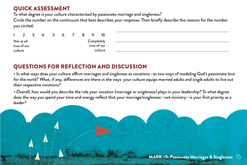To what degree is your culture characterized by passionate marriage and singleness?

Circle the number on the continuum that best describes your response. Then briefly describe the reasons for the number you circled.

|         | $\overline{2}$ | -3 | 4 | 5. | 6 | 8 |             |         |
|---------|----------------|----|---|----|---|---|-------------|---------|
|         | Not at all     |    |   |    |   |   | Completely  |         |
|         | true of our    |    |   |    |   |   | true of our |         |
| culture |                |    |   |    |   |   |             | culture |

#### QUESTIONS FOR REFLECTION AND DISCUSSION

• In what ways does your culture affirm marriages and singleness as vocations—as two ways of modeling God's passionate love for the world? What, if any, differences are there in the ways your culture equips married adults and single adults to live out their respective vocations?

• Overall, how would you describe the role your vocation (marriage or singleness) plays in your leadership? To what degree does the way you spend your time and energy reflect that your marriage/singleness—not ministry—is your first priority as a leader?

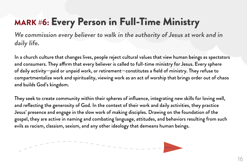## MARK #6: Every Person in Full-Time Ministry

**We commission every believer to walk in the authority of Jesus at work and in daily life.**

In a church culture that changes lives, people reject cultural values that view human beings as spectators and consumers. They affirm that every believer is called to full-time ministry for Jesus. Every sphere of daily activity—paid or unpaid work, or retirement—constitutes a field of ministry. They refuse to compartmentalize work and spirituality, viewing work as an act of worship that brings order out of chaos and builds God's kingdom.

They seek to create community within their spheres of influence, integrating new skills for loving well, and reflecting the generosity of God. In the context of their work and daily activities, they practice Jesus' presence and engage in the slow work of making disciples. Drawing on the foundation of the gospel, they are active in naming and combating language, attitudes, and behaviors resulting from such evils as racism, classism, sexism, and any other ideology that demeans human beings.

---------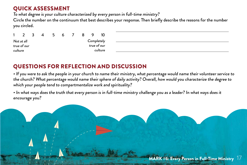To what degree is your culture characterized by every person in full-time ministry?

Circle the number on the continuum that best describes your response. Then briefly describe the reasons for the number you circled.

|         |             | -3 | 4 | 5 | h |  |             | 10      |
|---------|-------------|----|---|---|---|--|-------------|---------|
|         | Not at all  |    |   |   |   |  | Completely  |         |
|         | true of our |    |   |   |   |  | true of our |         |
| culture |             |    |   |   |   |  |             | culture |

#### QUESTIONS FOR REFLECTION AND DISCUSSION

• If you were to ask the people in your church to name their ministry, what percentage would name their volunteer service to the church? What percentage would name their sphere of daily activity? Overall, how would you characterize the degree to which your people tend to compartmentalize work and spirituality?

• In what ways does the truth that every person is in full-time ministry challenge you as a leader? In what ways does it encourage you?

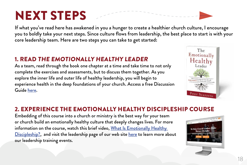## NEXT STEPS

If what you've read here has awakened in you a hunger to create a healthier church culture, I encourage you to boldly take your next steps. Since culture flows from leadership, the best place to start is with your core leadership team. Here are two steps you can take to get started**:**

#### 1. READ THE EMOTIONALLY HEALTHY LEADER

As a team, read through the book one chapter at a time and take time to not only complete the exercises and assessments, but to discuss them together. As you explore the inner life and outer life of healthy leadership, you will begin to experience health in the deep foundations of your church. Access a free Discussion Guide [here](https://www.emotionallyhealthy.org/wp-content/uploads/2016/01/EHL_StudyDiscussion_Online-3.pdf).



#### 2. EXPERIENCE THE EMOTIONALLY HEALTHY DISCIPLESHIP COURSE

Embedding of this course into a church or ministry is the best way for your team or church build an emotionally healthy culture that deeply changes lives. For more information on the course, watch this brief video, What Is Emotionally Healthy [Discipleship?,](https://www.youtube.com/watch?v=0Uugona2YTA) and visit the leadership page of our web site [here](https://www.emotionallyhealthy.org/get-trained/) to learn more about our leadership training events.

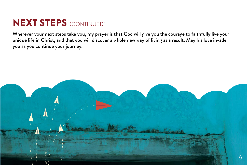### **NEXT STEPS (CONTINUED)**

Wherever your next steps take you, my prayer is that God will give you the courage to faithfully live your unique life in Christ, and that you will discover a whole new way of living as a result. May his love invade you as you continue your journey.